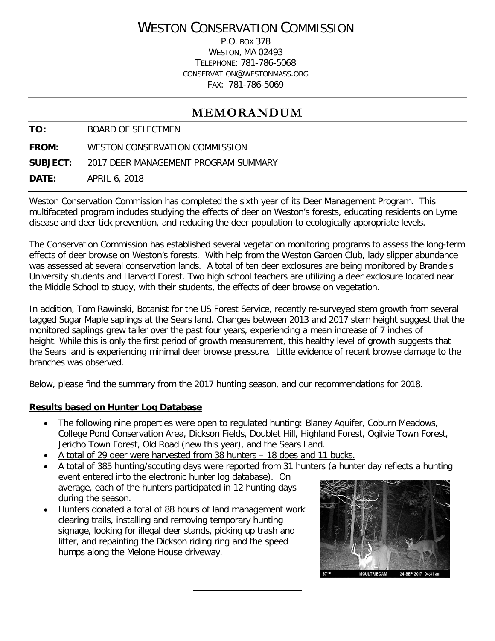# WESTON CONSERVATION COMMISSION

P.O. BOX 378 WESTON, MA 02493 TELEPHONE: 781-786-5068 CONSERVATION@WESTONMASS.ORG FAX: 781-786-5069

## **MEMORANDUM**

**TO:** BOARD OF SELECTMEN

**FROM:** WESTON CONSERVATION COMMISSION

**SUBJECT:** 2017 DEER MANAGEMENT PROGRAM SUMMARY

**DATE:** APRIL 6, 2018

Weston Conservation Commission has completed the sixth year of its Deer Management Program. This multifaceted program includes studying the effects of deer on Weston's forests, educating residents on Lyme disease and deer tick prevention, and reducing the deer population to ecologically appropriate levels.

The Conservation Commission has established several vegetation monitoring programs to assess the long-term effects of deer browse on Weston's forests. With help from the Weston Garden Club, lady slipper abundance was assessed at several conservation lands. A total of ten deer exclosures are being monitored by Brandeis University students and Harvard Forest. Two high school teachers are utilizing a deer exclosure located near the Middle School to study, with their students, the effects of deer browse on vegetation.

In addition, Tom Rawinski, Botanist for the US Forest Service, recently re-surveyed stem growth from several tagged Sugar Maple saplings at the Sears land. Changes between 2013 and 2017 stem height suggest that the monitored saplings grew taller over the past four years, experiencing a mean increase of 7 inches of height. While this is only the first period of growth measurement, this healthy level of growth suggests that the Sears land is experiencing minimal deer browse pressure. Little evidence of recent browse damage to the branches was observed.

Below, please find the summary from the 2017 hunting season, and our recommendations for 2018.

#### **Results based on Hunter Log Database**

- The following nine properties were open to regulated hunting: Blaney Aquifer, Coburn Meadows, College Pond Conservation Area, Dickson Fields, Doublet Hill, Highland Forest, Ogilvie Town Forest, Jericho Town Forest, Old Road (new this year), and the Sears Land.
- A total of 29 deer were harvested from 38 hunters 18 does and 11 bucks.

• A total of 385 hunting/scouting days were reported from 31 hunters (a hunter day reflects a hunting

- event entered into the electronic hunter log database). On average, each of the hunters participated in 12 hunting days during the season.
- Hunters donated a total of 88 hours of land management work clearing trails, installing and removing temporary hunting signage, looking for illegal deer stands, picking up trash and litter, and repainting the Dickson riding ring and the speed humps along the Melone House driveway.